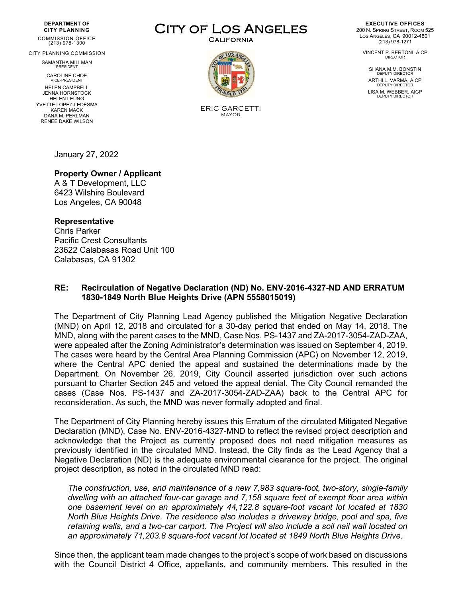#### **DEPARTMENT OF CITY PLANNING**

COMMISSION OFFICE (213) 978-1300

CITY PLANNING COMMISSION

SAMANTHA MILLMAN PRESIDENT

CAROLINE CHOE VICE-PRESIDENT

HELEN CAMPBELL JENNA HORNSTOCK HELEN LEUNG YVETTE LOPEZ-LEDESMA KAREN MACK DANA M. PERLMAN RENEE DAKE WILSON

CITY OF LOS ANGELES



ERIC GARCETTI MAYOR

**EXECUTIVE OFFICES** 200 N. SPRING STREET, ROOM 525 LOS ANGELES, CA 90012-4801 (213) 978-1271

VINCENT P. BERTONI, AICP DIRECTOR

SHANA M.M. BONSTIN<br>DEPUTY DIRECTOR ARTHI L. VARMA, AICP<br>DEPUTY DIRECTOR LISA M. WEBBER, AICP

January 27, 2022

# **Property Owner / Applicant**

A & T Development, LLC 6423 Wilshire Boulevard Los Angeles, CA 90048

## **Representative**

Chris Parker Pacific Crest Consultants 23622 Calabasas Road Unit 100 Calabasas, CA 91302

## **RE: Recirculation of Negative Declaration (ND) No. ENV-2016-4327-ND AND ERRATUM 1830-1849 North Blue Heights Drive (APN 5558015019)**

The Department of City Planning Lead Agency published the Mitigation Negative Declaration (MND) on April 12, 2018 and circulated for a 30-day period that ended on May 14, 2018. The MND, along with the parent cases to the MND, Case Nos. PS-1437 and ZA-2017-3054-ZAD-ZAA, were appealed after the Zoning Administrator's determination was issued on September 4, 2019. The cases were heard by the Central Area Planning Commission (APC) on November 12, 2019, where the Central APC denied the appeal and sustained the determinations made by the Department. On November 26, 2019, City Council asserted jurisdiction over such actions pursuant to Charter Section 245 and vetoed the appeal denial. The City Council remanded the cases (Case Nos. PS-1437 and ZA-2017-3054-ZAD-ZAA) back to the Central APC for reconsideration. As such, the MND was never formally adopted and final.

The Department of City Planning hereby issues this Erratum of the circulated Mitigated Negative Declaration (MND), Case No. ENV-2016-4327-MND to reflect the revised project description and acknowledge that the Project as currently proposed does not need mitigation measures as previously identified in the circulated MND. Instead, the City finds as the Lead Agency that a Negative Declaration (ND) is the adequate environmental clearance for the project. The original project description, as noted in the circulated MND read:

*The construction, use, and maintenance of a new 7,983 square-foot, two-story, single-family dwelling with an attached four-car garage and 7,158 square feet of exempt floor area within one basement level on an approximately 44,122.8 square-foot vacant lot located at 1830 North Blue Heights Drive. The residence also includes a driveway bridge, pool and spa, five retaining walls, and a two-car carport. The Project will also include a soil nail wall located on an approximately 71,203.8 square-foot vacant lot located at 1849 North Blue Heights Drive.*

Since then, the applicant team made changes to the project's scope of work based on discussions with the Council District 4 Office, appellants, and community members. This resulted in the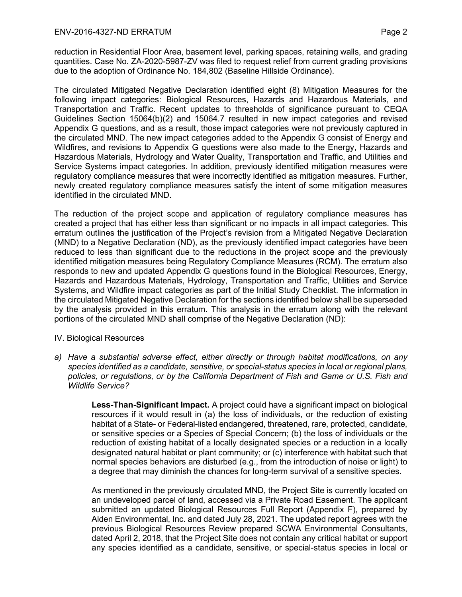reduction in Residential Floor Area, basement level, parking spaces, retaining walls, and grading quantities. Case No. ZA-2020-5987-ZV was filed to request relief from current grading provisions due to the adoption of Ordinance No. 184,802 (Baseline Hillside Ordinance).

The circulated Mitigated Negative Declaration identified eight (8) Mitigation Measures for the following impact categories: Biological Resources, Hazards and Hazardous Materials, and Transportation and Traffic. Recent updates to thresholds of significance pursuant to CEQA Guidelines Section 15064(b)(2) and 15064.7 resulted in new impact categories and revised Appendix G questions, and as a result, those impact categories were not previously captured in the circulated MND. The new impact categories added to the Appendix G consist of Energy and Wildfires, and revisions to Appendix G questions were also made to the Energy, Hazards and Hazardous Materials, Hydrology and Water Quality, Transportation and Traffic, and Utilities and Service Systems impact categories. In addition, previously identified mitigation measures were regulatory compliance measures that were incorrectly identified as mitigation measures. Further, newly created regulatory compliance measures satisfy the intent of some mitigation measures identified in the circulated MND.

The reduction of the project scope and application of regulatory compliance measures has created a project that has either less than significant or no impacts in all impact categories. This erratum outlines the justification of the Project's revision from a Mitigated Negative Declaration (MND) to a Negative Declaration (ND), as the previously identified impact categories have been reduced to less than significant due to the reductions in the project scope and the previously identified mitigation measures being Regulatory Compliance Measures (RCM). The erratum also responds to new and updated Appendix G questions found in the Biological Resources, Energy, Hazards and Hazardous Materials, Hydrology, Transportation and Traffic, Utilities and Service Systems, and Wildfire impact categories as part of the Initial Study Checklist. The information in the circulated Mitigated Negative Declaration for the sections identified below shall be superseded by the analysis provided in this erratum. This analysis in the erratum along with the relevant portions of the circulated MND shall comprise of the Negative Declaration (ND):

### IV. Biological Resources

*a) Have a substantial adverse effect, either directly or through habitat modifications, on any species identified as a candidate, sensitive, or special-status species in local or regional plans, policies, or regulations, or by the California Department of Fish and Game or U.S. Fish and Wildlife Service?*

> **Less-Than-Significant Impact.** A project could have a significant impact on biological resources if it would result in (a) the loss of individuals, or the reduction of existing habitat of a State- or Federal-listed endangered, threatened, rare, protected, candidate, or sensitive species or a Species of Special Concern; (b) the loss of individuals or the reduction of existing habitat of a locally designated species or a reduction in a locally designated natural habitat or plant community; or (c) interference with habitat such that normal species behaviors are disturbed (e.g., from the introduction of noise or light) to a degree that may diminish the chances for long-term survival of a sensitive species.

> As mentioned in the previously circulated MND, the Project Site is currently located on an undeveloped parcel of land, accessed via a Private Road Easement. The applicant submitted an updated Biological Resources Full Report (Appendix F), prepared by Alden Environmental, Inc. and dated July 28, 2021. The updated report agrees with the previous Biological Resources Review prepared SCWA Environmental Consultants, dated April 2, 2018, that the Project Site does not contain any critical habitat or support any species identified as a candidate, sensitive, or special-status species in local or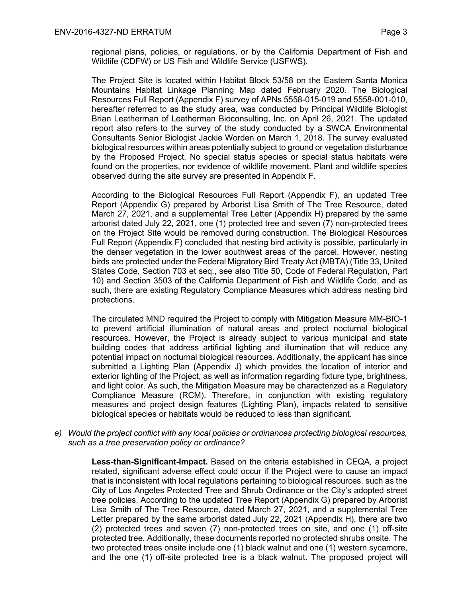regional plans, policies, or regulations, or by the California Department of Fish and Wildlife (CDFW) or US Fish and Wildlife Service (USFWS).

The Project Site is located within Habitat Block 53/58 on the Eastern Santa Monica Mountains Habitat Linkage Planning Map dated February 2020. The Biological Resources Full Report (Appendix F) survey of APNs 5558-015-019 and 5558-001-010, hereafter referred to as the study area, was conducted by Principal Wildlife Biologist Brian Leatherman of Leatherman Bioconsulting, Inc. on April 26, 2021. The updated report also refers to the survey of the study conducted by a SWCA Environmental Consultants Senior Biologist Jackie Worden on March 1, 2018. The survey evaluated biological resources within areas potentially subject to ground or vegetation disturbance by the Proposed Project. No special status species or special status habitats were found on the properties, nor evidence of wildlife movement. Plant and wildlife species observed during the site survey are presented in Appendix F.

According to the Biological Resources Full Report (Appendix F), an updated Tree Report (Appendix G) prepared by Arborist Lisa Smith of The Tree Resource, dated March 27, 2021, and a supplemental Tree Letter (Appendix H) prepared by the same arborist dated July 22, 2021, one (1) protected tree and seven (7) non-protected trees on the Project Site would be removed during construction. The Biological Resources Full Report (Appendix F) concluded that nesting bird activity is possible, particularly in the denser vegetation in the lower southwest areas of the parcel. However, nesting birds are protected under the Federal Migratory Bird Treaty Act (MBTA) (Title 33, United States Code, Section 703 et seq., see also Title 50, Code of Federal Regulation, Part 10) and Section 3503 of the California Department of Fish and Wildlife Code, and as such, there are existing Regulatory Compliance Measures which address nesting bird protections.

The circulated MND required the Project to comply with Mitigation Measure MM-BIO-1 to prevent artificial illumination of natural areas and protect nocturnal biological resources. However, the Project is already subject to various municipal and state building codes that address artificial lighting and illumination that will reduce any potential impact on nocturnal biological resources. Additionally, the applicant has since submitted a Lighting Plan (Appendix J) which provides the location of interior and exterior lighting of the Project, as well as information regarding fixture type, brightness, and light color. As such, the Mitigation Measure may be characterized as a Regulatory Compliance Measure (RCM). Therefore, in conjunction with existing regulatory measures and project design features (Lighting Plan), impacts related to sensitive biological species or habitats would be reduced to less than significant.

*e) Would the project conflict with any local policies or ordinances protecting biological resources, such as a tree preservation policy or ordinance?*

> **Less-than-Significant-Impact.** Based on the criteria established in CEQA*,* a project related, significant adverse effect could occur if the Project were to cause an impact that is inconsistent with local regulations pertaining to biological resources, such as the City of Los Angeles Protected Tree and Shrub Ordinance or the City's adopted street tree policies. According to the updated Tree Report (Appendix G) prepared by Arborist Lisa Smith of The Tree Resource, dated March 27, 2021, and a supplemental Tree Letter prepared by the same arborist dated July 22, 2021 (Appendix H), there are two (2) protected trees and seven (7) non-protected trees on site, and one (1) off-site protected tree. Additionally, these documents reported no protected shrubs onsite. The two protected trees onsite include one (1) black walnut and one (1) western sycamore, and the one (1) off-site protected tree is a black walnut. The proposed project will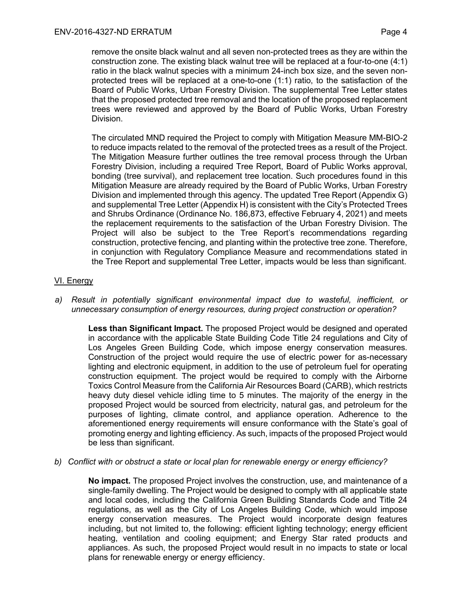remove the onsite black walnut and all seven non-protected trees as they are within the construction zone. The existing black walnut tree will be replaced at a four-to-one (4:1) ratio in the black walnut species with a minimum 24-inch box size, and the seven nonprotected trees will be replaced at a one-to-one (1:1) ratio, to the satisfaction of the Board of Public Works, Urban Forestry Division. The supplemental Tree Letter states that the proposed protected tree removal and the location of the proposed replacement trees were reviewed and approved by the Board of Public Works, Urban Forestry Division.

The circulated MND required the Project to comply with Mitigation Measure MM-BIO-2 to reduce impacts related to the removal of the protected trees as a result of the Project. The Mitigation Measure further outlines the tree removal process through the Urban Forestry Division, including a required Tree Report, Board of Public Works approval, bonding (tree survival), and replacement tree location. Such procedures found in this Mitigation Measure are already required by the Board of Public Works, Urban Forestry Division and implemented through this agency. The updated Tree Report (Appendix G) and supplemental Tree Letter (Appendix H) is consistent with the City's Protected Trees and Shrubs Ordinance (Ordinance No. 186,873, effective February 4, 2021) and meets the replacement requirements to the satisfaction of the Urban Forestry Division. The Project will also be subject to the Tree Report's recommendations regarding construction, protective fencing, and planting within the protective tree zone. Therefore, in conjunction with Regulatory Compliance Measure and recommendations stated in the Tree Report and supplemental Tree Letter, impacts would be less than significant.

# VI. Energy

*a) Result in potentially significant environmental impact due to wasteful, inefficient, or unnecessary consumption of energy resources, during project construction or operation?*

**Less than Significant Impact.** The proposed Project would be designed and operated in accordance with the applicable State Building Code Title 24 regulations and City of Los Angeles Green Building Code, which impose energy conservation measures. Construction of the project would require the use of electric power for as-necessary lighting and electronic equipment, in addition to the use of petroleum fuel for operating construction equipment. The project would be required to comply with the Airborne Toxics Control Measure from the California Air Resources Board (CARB), which restricts heavy duty diesel vehicle idling time to 5 minutes. The majority of the energy in the proposed Project would be sourced from electricity, natural gas, and petroleum for the purposes of lighting, climate control, and appliance operation. Adherence to the aforementioned energy requirements will ensure conformance with the State's goal of promoting energy and lighting efficiency. As such, impacts of the proposed Project would be less than significant.

## *b) Conflict with or obstruct a state or local plan for renewable energy or energy efficiency?*

**No impact.** The proposed Project involves the construction, use, and maintenance of a single-family dwelling. The Project would be designed to comply with all applicable state and local codes, including the California Green Building Standards Code and Title 24 regulations, as well as the City of Los Angeles Building Code, which would impose energy conservation measures. The Project would incorporate design features including, but not limited to, the following: efficient lighting technology; energy efficient heating, ventilation and cooling equipment; and Energy Star rated products and appliances. As such, the proposed Project would result in no impacts to state or local plans for renewable energy or energy efficiency.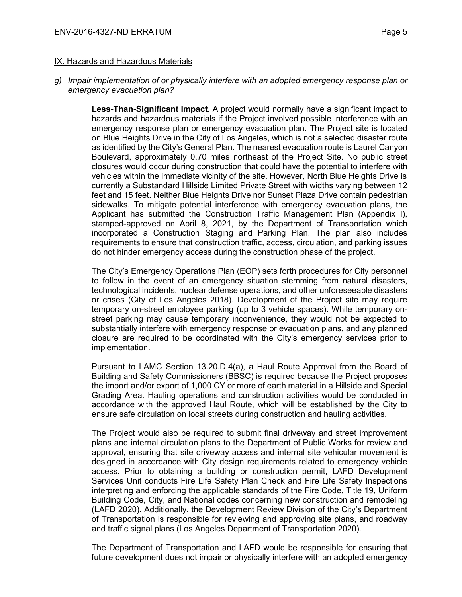### IX. Hazards and Hazardous Materials

*g) Impair implementation of or physically interfere with an adopted emergency response plan or emergency evacuation plan?*

> **Less-Than-Significant Impact.** A project would normally have a significant impact to hazards and hazardous materials if the Project involved possible interference with an emergency response plan or emergency evacuation plan. The Project site is located on Blue Heights Drive in the City of Los Angeles, which is not a selected disaster route as identified by the City's General Plan. The nearest evacuation route is Laurel Canyon Boulevard, approximately 0.70 miles northeast of the Project Site. No public street closures would occur during construction that could have the potential to interfere with vehicles within the immediate vicinity of the site. However, North Blue Heights Drive is currently a Substandard Hillside Limited Private Street with widths varying between 12 feet and 15 feet. Neither Blue Heights Drive nor Sunset Plaza Drive contain pedestrian sidewalks. To mitigate potential interference with emergency evacuation plans, the Applicant has submitted the Construction Traffic Management Plan (Appendix I), stamped-approved on April 8, 2021, by the Department of Transportation which incorporated a Construction Staging and Parking Plan. The plan also includes requirements to ensure that construction traffic, access, circulation, and parking issues do not hinder emergency access during the construction phase of the project.

> The City's Emergency Operations Plan (EOP) sets forth procedures for City personnel to follow in the event of an emergency situation stemming from natural disasters, technological incidents, nuclear defense operations, and other unforeseeable disasters or crises (City of Los Angeles 2018). Development of the Project site may require temporary on-street employee parking (up to 3 vehicle spaces). While temporary onstreet parking may cause temporary inconvenience, they would not be expected to substantially interfere with emergency response or evacuation plans, and any planned closure are required to be coordinated with the City's emergency services prior to implementation.

> Pursuant to LAMC Section 13.20.D.4(a), a Haul Route Approval from the Board of Building and Safety Commissioners (BBSC) is required because the Project proposes the import and/or export of 1,000 CY or more of earth material in a Hillside and Special Grading Area. Hauling operations and construction activities would be conducted in accordance with the approved Haul Route, which will be established by the City to ensure safe circulation on local streets during construction and hauling activities.

> The Project would also be required to submit final driveway and street improvement plans and internal circulation plans to the Department of Public Works for review and approval, ensuring that site driveway access and internal site vehicular movement is designed in accordance with City design requirements related to emergency vehicle access. Prior to obtaining a building or construction permit, LAFD Development Services Unit conducts Fire Life Safety Plan Check and Fire Life Safety Inspections interpreting and enforcing the applicable standards of the Fire Code, Title 19, Uniform Building Code, City, and National codes concerning new construction and remodeling (LAFD 2020). Additionally, the Development Review Division of the City's Department of Transportation is responsible for reviewing and approving site plans, and roadway and traffic signal plans (Los Angeles Department of Transportation 2020).

> The Department of Transportation and LAFD would be responsible for ensuring that future development does not impair or physically interfere with an adopted emergency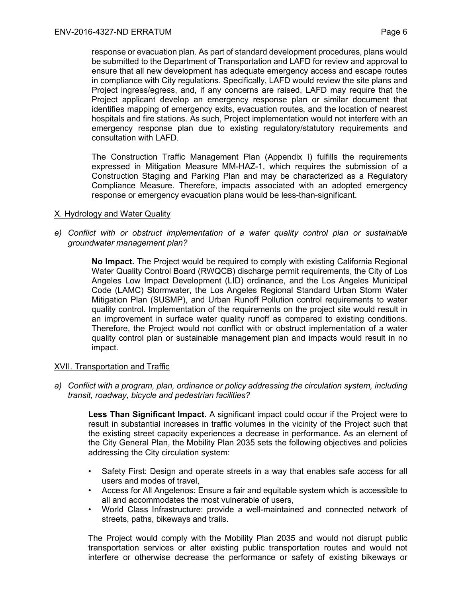response or evacuation plan. As part of standard development procedures, plans would be submitted to the Department of Transportation and LAFD for review and approval to ensure that all new development has adequate emergency access and escape routes in compliance with City regulations. Specifically, LAFD would review the site plans and Project ingress/egress, and, if any concerns are raised, LAFD may require that the Project applicant develop an emergency response plan or similar document that identifies mapping of emergency exits, evacuation routes, and the location of nearest hospitals and fire stations. As such, Project implementation would not interfere with an emergency response plan due to existing regulatory/statutory requirements and consultation with LAFD.

The Construction Traffic Management Plan (Appendix I) fulfills the requirements expressed in Mitigation Measure MM-HAZ-1, which requires the submission of a Construction Staging and Parking Plan and may be characterized as a Regulatory Compliance Measure. Therefore, impacts associated with an adopted emergency response or emergency evacuation plans would be less-than-significant.

## X. Hydrology and Water Quality

*e) Conflict with or obstruct implementation of a water quality control plan or sustainable groundwater management plan?*

> **No Impact.** The Project would be required to comply with existing California Regional Water Quality Control Board (RWQCB) discharge permit requirements, the City of Los Angeles Low Impact Development (LID) ordinance, and the Los Angeles Municipal Code (LAMC) Stormwater, the Los Angeles Regional Standard Urban Storm Water Mitigation Plan (SUSMP), and Urban Runoff Pollution control requirements to water quality control. Implementation of the requirements on the project site would result in an improvement in surface water quality runoff as compared to existing conditions. Therefore, the Project would not conflict with or obstruct implementation of a water quality control plan or sustainable management plan and impacts would result in no impact.

## XVII. Transportation and Traffic

*a) Conflict with a program, plan, ordinance or policy addressing the circulation system, including transit, roadway, bicycle and pedestrian facilities?*

**Less Than Significant Impact.** A significant impact could occur if the Project were to result in substantial increases in traffic volumes in the vicinity of the Project such that the existing street capacity experiences a decrease in performance. As an element of the City General Plan, the Mobility Plan 2035 sets the following objectives and policies addressing the City circulation system:

- Safety First: Design and operate streets in a way that enables safe access for all users and modes of travel,
- Access for All Angelenos: Ensure a fair and equitable system which is accessible to all and accommodates the most vulnerable of users,
- World Class Infrastructure: provide a well-maintained and connected network of streets, paths, bikeways and trails.

The Project would comply with the Mobility Plan 2035 and would not disrupt public transportation services or alter existing public transportation routes and would not interfere or otherwise decrease the performance or safety of existing bikeways or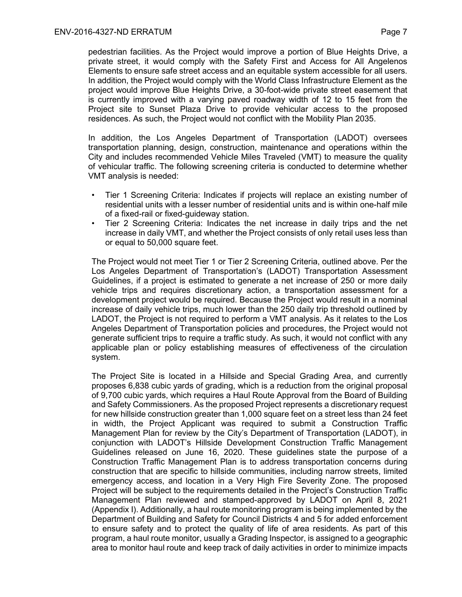pedestrian facilities. As the Project would improve a portion of Blue Heights Drive, a private street, it would comply with the Safety First and Access for All Angelenos Elements to ensure safe street access and an equitable system accessible for all users. In addition, the Project would comply with the World Class Infrastructure Element as the project would improve Blue Heights Drive, a 30-foot-wide private street easement that is currently improved with a varying paved roadway width of 12 to 15 feet from the Project site to Sunset Plaza Drive to provide vehicular access to the proposed residences. As such, the Project would not conflict with the Mobility Plan 2035.

In addition, the Los Angeles Department of Transportation (LADOT) oversees transportation planning, design, construction, maintenance and operations within the City and includes recommended Vehicle Miles Traveled (VMT) to measure the quality of vehicular traffic. The following screening criteria is conducted to determine whether VMT analysis is needed:

- Tier 1 Screening Criteria: Indicates if projects will replace an existing number of residential units with a lesser number of residential units and is within one-half mile of a fixed-rail or fixed-guideway station.
- Tier 2 Screening Criteria: Indicates the net increase in daily trips and the net increase in daily VMT, and whether the Project consists of only retail uses less than or equal to 50,000 square feet.

The Project would not meet Tier 1 or Tier 2 Screening Criteria, outlined above. Per the Los Angeles Department of Transportation's (LADOT) Transportation Assessment Guidelines, if a project is estimated to generate a net increase of 250 or more daily vehicle trips and requires discretionary action, a transportation assessment for a development project would be required. Because the Project would result in a nominal increase of daily vehicle trips, much lower than the 250 daily trip threshold outlined by LADOT, the Project is not required to perform a VMT analysis. As it relates to the Los Angeles Department of Transportation policies and procedures, the Project would not generate sufficient trips to require a traffic study. As such, it would not conflict with any applicable plan or policy establishing measures of effectiveness of the circulation system.

The Project Site is located in a Hillside and Special Grading Area, and currently proposes 6,838 cubic yards of grading, which is a reduction from the original proposal of 9,700 cubic yards, which requires a Haul Route Approval from the Board of Building and Safety Commissioners. As the proposed Project represents a discretionary request for new hillside construction greater than 1,000 square feet on a street less than 24 feet in width, the Project Applicant was required to submit a Construction Traffic Management Plan for review by the City's Department of Transportation (LADOT), in conjunction with LADOT's Hillside Development Construction Traffic Management Guidelines released on June 16, 2020. These guidelines state the purpose of a Construction Traffic Management Plan is to address transportation concerns during construction that are specific to hillside communities, including narrow streets, limited emergency access, and location in a Very High Fire Severity Zone. The proposed Project will be subject to the requirements detailed in the Project's Construction Traffic Management Plan reviewed and stamped-approved by LADOT on April 8, 2021 (Appendix I). Additionally, a haul route monitoring program is being implemented by the Department of Building and Safety for Council Districts 4 and 5 for added enforcement to ensure safety and to protect the quality of life of area residents. As part of this program, a haul route monitor, usually a Grading Inspector, is assigned to a geographic area to monitor haul route and keep track of daily activities in order to minimize impacts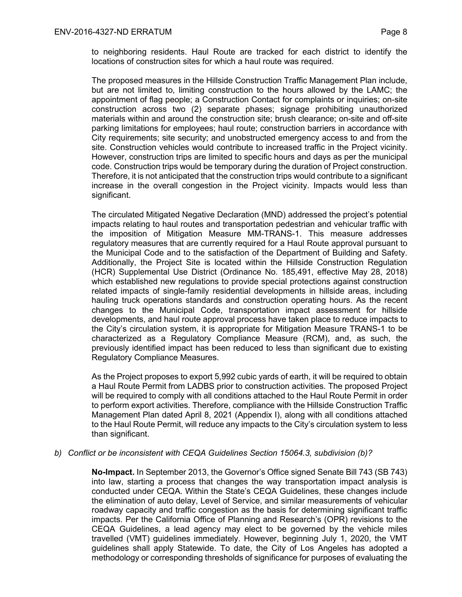to neighboring residents. Haul Route are tracked for each district to identify the locations of construction sites for which a haul route was required.

The proposed measures in the Hillside Construction Traffic Management Plan include, but are not limited to, limiting construction to the hours allowed by the LAMC; the appointment of flag people; a Construction Contact for complaints or inquiries; on-site construction across two (2) separate phases; signage prohibiting unauthorized materials within and around the construction site; brush clearance; on-site and off-site parking limitations for employees; haul route; construction barriers in accordance with City requirements; site security; and unobstructed emergency access to and from the site. Construction vehicles would contribute to increased traffic in the Project vicinity. However, construction trips are limited to specific hours and days as per the municipal code. Construction trips would be temporary during the duration of Project construction. Therefore, it is not anticipated that the construction trips would contribute to a significant increase in the overall congestion in the Project vicinity. Impacts would less than significant.

The circulated Mitigated Negative Declaration (MND) addressed the project's potential impacts relating to haul routes and transportation pedestrian and vehicular traffic with the imposition of Mitigation Measure MM-TRANS-1. This measure addresses regulatory measures that are currently required for a Haul Route approval pursuant to the Municipal Code and to the satisfaction of the Department of Building and Safety. Additionally, the Project Site is located within the Hillside Construction Regulation (HCR) Supplemental Use District (Ordinance No. 185,491, effective May 28, 2018) which established new regulations to provide special protections against construction related impacts of single-family residential developments in hillside areas, including hauling truck operations standards and construction operating hours. As the recent changes to the Municipal Code, transportation impact assessment for hillside developments, and haul route approval process have taken place to reduce impacts to the City's circulation system, it is appropriate for Mitigation Measure TRANS-1 to be characterized as a Regulatory Compliance Measure (RCM), and, as such, the previously identified impact has been reduced to less than significant due to existing Regulatory Compliance Measures.

As the Project proposes to export 5,992 cubic yards of earth, it will be required to obtain a Haul Route Permit from LADBS prior to construction activities. The proposed Project will be required to comply with all conditions attached to the Haul Route Permit in order to perform export activities. Therefore, compliance with the Hillside Construction Traffic Management Plan dated April 8, 2021 (Appendix I), along with all conditions attached to the Haul Route Permit, will reduce any impacts to the City's circulation system to less than significant.

## *b) Conflict or be inconsistent with CEQA Guidelines Section 15064.3, subdivision (b)?*

**No-Impact.** In September 2013, the Governor's Office signed Senate Bill 743 (SB 743) into law, starting a process that changes the way transportation impact analysis is conducted under CEQA. Within the State's CEQA Guidelines, these changes include the elimination of auto delay, Level of Service, and similar measurements of vehicular roadway capacity and traffic congestion as the basis for determining significant traffic impacts. Per the California Office of Planning and Research's (OPR) revisions to the CEQA Guidelines, a lead agency may elect to be governed by the vehicle miles travelled (VMT) guidelines immediately. However, beginning July 1, 2020, the VMT guidelines shall apply Statewide. To date, the City of Los Angeles has adopted a methodology or corresponding thresholds of significance for purposes of evaluating the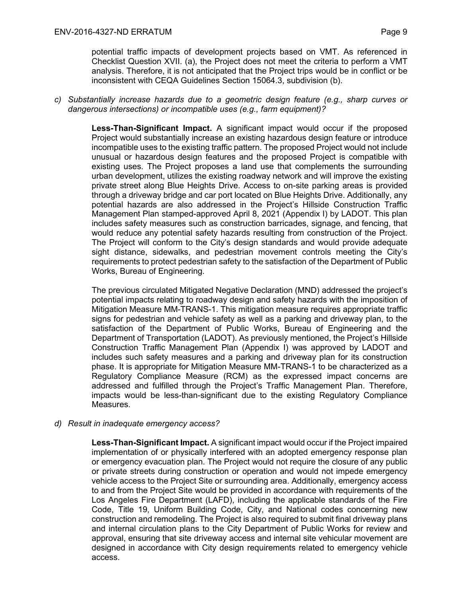potential traffic impacts of development projects based on VMT. As referenced in Checklist Question XVII. (a), the Project does not meet the criteria to perform a VMT analysis. Therefore, it is not anticipated that the Project trips would be in conflict or be inconsistent with CEQA Guidelines Section 15064.3, subdivision (b).

## *c) Substantially increase hazards due to a geometric design feature (e.g., sharp curves or dangerous intersections) or incompatible uses (e.g., farm equipment)?*

**Less-Than-Significant Impact.** A significant impact would occur if the proposed Project would substantially increase an existing hazardous design feature or introduce incompatible uses to the existing traffic pattern. The proposed Project would not include unusual or hazardous design features and the proposed Project is compatible with existing uses. The Project proposes a land use that complements the surrounding urban development, utilizes the existing roadway network and will improve the existing private street along Blue Heights Drive. Access to on-site parking areas is provided through a driveway bridge and car port located on Blue Heights Drive. Additionally, any potential hazards are also addressed in the Project's Hillside Construction Traffic Management Plan stamped-approved April 8, 2021 (Appendix I) by LADOT. This plan includes safety measures such as construction barricades, signage, and fencing, that would reduce any potential safety hazards resulting from construction of the Project. The Project will conform to the City's design standards and would provide adequate sight distance, sidewalks, and pedestrian movement controls meeting the City's requirements to protect pedestrian safety to the satisfaction of the Department of Public Works, Bureau of Engineering.

The previous circulated Mitigated Negative Declaration (MND) addressed the project's potential impacts relating to roadway design and safety hazards with the imposition of Mitigation Measure MM-TRANS-1. This mitigation measure requires appropriate traffic signs for pedestrian and vehicle safety as well as a parking and driveway plan, to the satisfaction of the Department of Public Works, Bureau of Engineering and the Department of Transportation (LADOT). As previously mentioned, the Project's Hillside Construction Traffic Management Plan (Appendix I) was approved by LADOT and includes such safety measures and a parking and driveway plan for its construction phase. It is appropriate for Mitigation Measure MM-TRANS-1 to be characterized as a Regulatory Compliance Measure (RCM) as the expressed impact concerns are addressed and fulfilled through the Project's Traffic Management Plan. Therefore, impacts would be less-than-significant due to the existing Regulatory Compliance Measures.

### *d) Result in inadequate emergency access?*

**Less-Than-Significant Impact.** A significant impact would occur if the Project impaired implementation of or physically interfered with an adopted emergency response plan or emergency evacuation plan. The Project would not require the closure of any public or private streets during construction or operation and would not impede emergency vehicle access to the Project Site or surrounding area. Additionally, emergency access to and from the Project Site would be provided in accordance with requirements of the Los Angeles Fire Department (LAFD), including the applicable standards of the Fire Code, Title 19, Uniform Building Code, City, and National codes concerning new construction and remodeling. The Project is also required to submit final driveway plans and internal circulation plans to the City Department of Public Works for review and approval, ensuring that site driveway access and internal site vehicular movement are designed in accordance with City design requirements related to emergency vehicle access.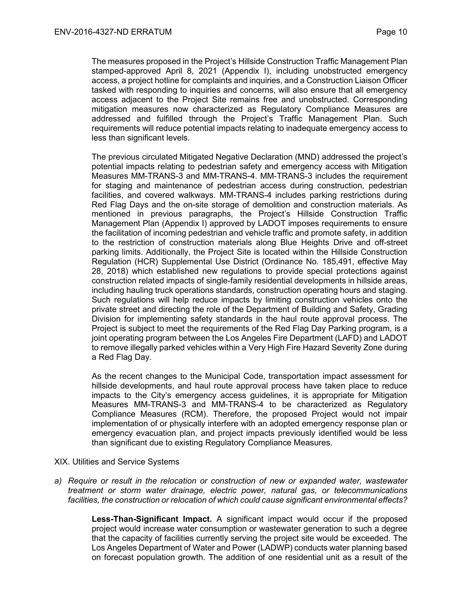The measures proposed in the Project's Hillside Construction Traffic Management Plan stamped-approved April 8, 2021 (Appendix I), including unobstructed emergency access, a project hotline for complaints and inquiries, and a Construction Liaison Officer tasked with responding to inquiries and concerns, will also ensure that all emergency access adjacent to the Project Site remains free and unobstructed. Corresponding mitigation measures now characterized as Regulatory Compliance Measures are addressed and fulfilled through the Project's Traffic Management Plan. Such requirements will reduce potential impacts relating to inadequate emergency access to less than significant levels.

The previous circulated Mitigated Negative Declaration (MND) addressed the project's potential impacts relating to pedestrian safety and emergency access with Mitigation Measures MM-TRANS-3 and MM-TRANS-4. MM-TRANS-3 includes the requirement for staging and maintenance of pedestrian access during construction, pedestrian facilities, and covered walkways. MM-TRANS-4 includes parking restrictions during Red Flag Days and the on-site storage of demolition and construction materials. As mentioned in previous paragraphs, the Project's Hillside Construction Traffic Management Plan (Appendix I) approved by LADOT imposes requirements to ensure the facilitation of incoming pedestrian and vehicle traffic and promote safety, in addition to the restriction of construction materials along Blue Heights Drive and off-street parking limits. Additionally, the Project Site is located within the Hillside Construction Regulation (HCR) Supplemental Use District (Ordinance No. 185,491, effective May 28, 2018) which established new regulations to provide special protections against construction related impacts of single-family residential developments in hillside areas, including hauling truck operations standards, construction operating hours and staging. Such regulations will help reduce impacts by limiting construction vehicles onto the private street and directing the role of the Department of Building and Safety, Grading Division for implementing safety standards in the haul route approval process. The Project is subject to meet the requirements of the Red Flag Day Parking program, is a joint operating program between the Los Angeles Fire Department (LAFD) and LADOT to remove illegally parked vehicles within a Very High Fire Hazard Severity Zone during a Red Flag Day.

As the recent changes to the Municipal Code, transportation impact assessment for hillside developments, and haul route approval process have taken place to reduce impacts to the City's emergency access guidelines, it is appropriate for Mitigation Measures MM-TRANS-3 and MM-TRANS-4 to be characterized as Regulatory Compliance Measures (RCM). Therefore, the proposed Project would not impair implementation of or physically interfere with an adopted emergency response plan or emergency evacuation plan, and project impacts previously identified would be less than significant due to existing Regulatory Compliance Measures.

### XIX. Utilities and Service Systems

*a) Require or result in the relocation or construction of new or expanded water, wastewater treatment or storm water drainage, electric power, natural gas, or telecommunications facilities, the construction or relocation of which could cause significant environmental effects?*

> **Less-Than-Significant Impact.** A significant impact would occur if the proposed project would increase water consumption or wastewater generation to such a degree that the capacity of facilities currently serving the project site would be exceeded. The Los Angeles Department of Water and Power (LADWP) conducts water planning based on forecast population growth. The addition of one residential unit as a result of the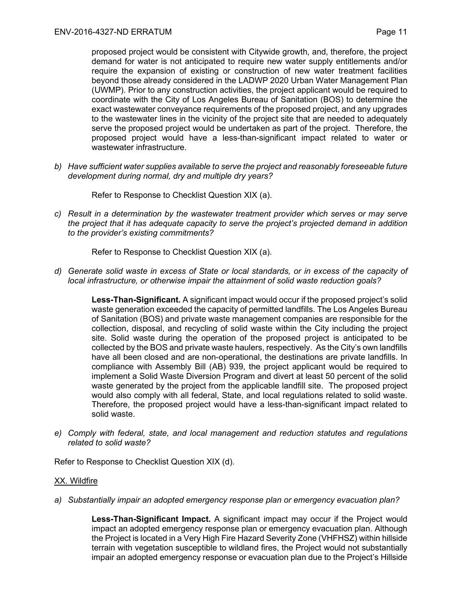proposed project would be consistent with Citywide growth, and, therefore, the project demand for water is not anticipated to require new water supply entitlements and/or require the expansion of existing or construction of new water treatment facilities beyond those already considered in the LADWP 2020 Urban Water Management Plan (UWMP). Prior to any construction activities, the project applicant would be required to coordinate with the City of Los Angeles Bureau of Sanitation (BOS) to determine the exact wastewater conveyance requirements of the proposed project, and any upgrades to the wastewater lines in the vicinity of the project site that are needed to adequately serve the proposed project would be undertaken as part of the project. Therefore, the proposed project would have a less-than-significant impact related to water or wastewater infrastructure.

*b) Have sufficient water supplies available to serve the project and reasonably foreseeable future development during normal, dry and multiple dry years?*

Refer to Response to Checklist Question XIX (a).

*c) Result in a determination by the wastewater treatment provider which serves or may serve the project that it has adequate capacity to serve the project's projected demand in addition to the provider's existing commitments?*

Refer to Response to Checklist Question XIX (a).

*d) Generate solid waste in excess of State or local standards, or in excess of the capacity of local infrastructure, or otherwise impair the attainment of solid waste reduction goals?*

> **Less-Than-Significant.** A significant impact would occur if the proposed project's solid waste generation exceeded the capacity of permitted landfills. The Los Angeles Bureau of Sanitation (BOS) and private waste management companies are responsible for the collection, disposal, and recycling of solid waste within the City including the project site. Solid waste during the operation of the proposed project is anticipated to be collected by the BOS and private waste haulers, respectively. As the City's own landfills have all been closed and are non-operational, the destinations are private landfills. In compliance with Assembly Bill (AB) 939, the project applicant would be required to implement a Solid Waste Diversion Program and divert at least 50 percent of the solid waste generated by the project from the applicable landfill site. The proposed project would also comply with all federal, State, and local regulations related to solid waste. Therefore, the proposed project would have a less-than-significant impact related to solid waste.

*e) Comply with federal, state, and local management and reduction statutes and regulations related to solid waste?*

Refer to Response to Checklist Question XIX (d).

### XX. Wildfire

*a) Substantially impair an adopted emergency response plan or emergency evacuation plan?* 

**Less-Than-Significant Impact.** A significant impact may occur if the Project would impact an adopted emergency response plan or emergency evacuation plan. Although the Project is located in a Very High Fire Hazard Severity Zone (VHFHSZ) within hillside terrain with vegetation susceptible to wildland fires, the Project would not substantially impair an adopted emergency response or evacuation plan due to the Project's Hillside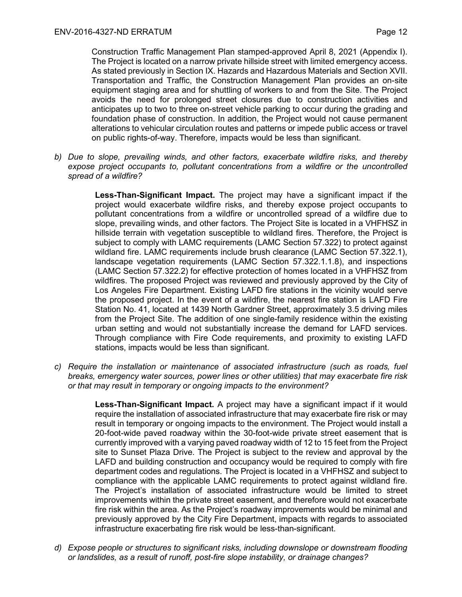Construction Traffic Management Plan stamped-approved April 8, 2021 (Appendix I). The Project is located on a narrow private hillside street with limited emergency access. As stated previously in Section IX. Hazards and Hazardous Materials and Section XVII. Transportation and Traffic, the Construction Management Plan provides an on-site equipment staging area and for shuttling of workers to and from the Site. The Project avoids the need for prolonged street closures due to construction activities and anticipates up to two to three on-street vehicle parking to occur during the grading and foundation phase of construction. In addition, the Project would not cause permanent alterations to vehicular circulation routes and patterns or impede public access or travel on public rights-of-way. Therefore, impacts would be less than significant.

*b) Due to slope, prevailing winds, and other factors, exacerbate wildfire risks, and thereby expose project occupants to, pollutant concentrations from a wildfire or the uncontrolled spread of a wildfire?*

> **Less-Than-Significant Impact.** The project may have a significant impact if the project would exacerbate wildfire risks, and thereby expose project occupants to pollutant concentrations from a wildfire or uncontrolled spread of a wildfire due to slope, prevailing winds, and other factors. The Project Site is located in a VHFHSZ in hillside terrain with vegetation susceptible to wildland fires. Therefore, the Project is subject to comply with LAMC requirements (LAMC Section 57.322) to protect against wildland fire. LAMC requirements include brush clearance (LAMC Section 57.322.1), landscape vegetation requirements (LAMC Section 57.322.1.1.8), and inspections (LAMC Section 57.322.2) for effective protection of homes located in a VHFHSZ from wildfires. The proposed Project was reviewed and previously approved by the City of Los Angeles Fire Department. Existing LAFD fire stations in the vicinity would serve the proposed project. In the event of a wildfire, the nearest fire station is LAFD Fire Station No. 41, located at 1439 North Gardner Street, approximately 3.5 driving miles from the Project Site. The addition of one single-family residence within the existing urban setting and would not substantially increase the demand for LAFD services. Through compliance with Fire Code requirements, and proximity to existing LAFD stations, impacts would be less than significant.

*c) Require the installation or maintenance of associated infrastructure (such as roads, fuel breaks, emergency water sources, power lines or other utilities) that may exacerbate fire risk or that may result in temporary or ongoing impacts to the environment?*

> **Less-Than-Significant Impact.** A project may have a significant impact if it would require the installation of associated infrastructure that may exacerbate fire risk or may result in temporary or ongoing impacts to the environment. The Project would install a 20-foot-wide paved roadway within the 30-foot-wide private street easement that is currently improved with a varying paved roadway width of 12 to 15 feet from the Project site to Sunset Plaza Drive. The Project is subject to the review and approval by the LAFD and building construction and occupancy would be required to comply with fire department codes and regulations. The Project is located in a VHFHSZ and subject to compliance with the applicable LAMC requirements to protect against wildland fire. The Project's installation of associated infrastructure would be limited to street improvements within the private street easement, and therefore would not exacerbate fire risk within the area. As the Project's roadway improvements would be minimal and previously approved by the City Fire Department, impacts with regards to associated infrastructure exacerbating fire risk would be less-than-significant.

*d) Expose people or structures to significant risks, including downslope or downstream flooding or landslides, as a result of runoff, post-fire slope instability, or drainage changes?*